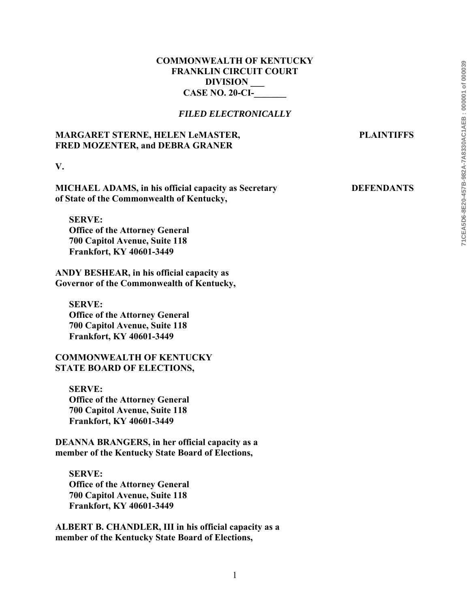# **COMMONWEALTH OF KENTUCKY FRANKLIN CIRCUIT COURT DIVISION \_\_\_ CASE NO. 20-CI-\_\_\_\_\_\_\_**

## *FILED ELECTRONICALLY*

# **MARGARET STERNE, HELEN LeMASTER, PLAINTIFFS FRED MOZENTER, and DEBRA GRANER**

**V.** 

**MICHAEL ADAMS, in his official capacity as Secretary DEFENDANTS of State of the Commonwealth of Kentucky,** 

**SERVE: Office of the Attorney General 700 Capitol Avenue, Suite 118 Frankfort, KY 40601-3449** 

**ANDY BESHEAR, in his official capacity as Governor of the Commonwealth of Kentucky,** 

**SERVE: Office of the Attorney General 700 Capitol Avenue, Suite 118 Frankfort, KY 40601-3449** 

**COMMONWEALTH OF KENTUCKY STATE BOARD OF ELECTIONS,** 

**SERVE: Office of the Attorney General 700 Capitol Avenue, Suite 118 Frankfort, KY 40601-3449** 

**DEANNA BRANGERS, in her official capacity as a member of the Kentucky State Board of Elections,** 

**SERVE: Office of the Attorney General 700 Capitol Avenue, Suite 118 Frankfort, KY 40601-3449** 

**ALBERT B. CHANDLER, III in his official capacity as a member of the Kentucky State Board of Elections,**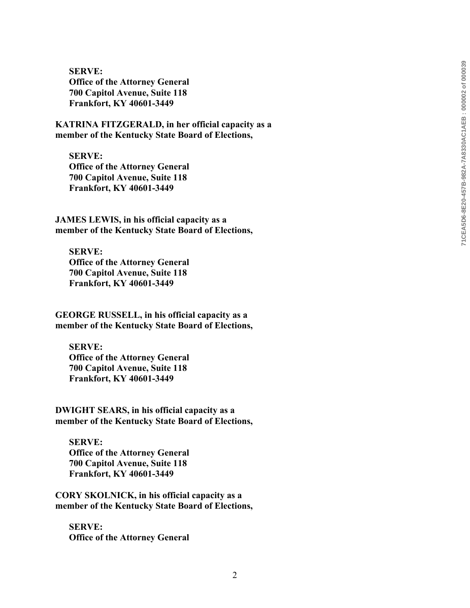**SERVE: Office of the Attorney General 700 Capitol Avenue, Suite 118 Frankfort, KY 40601-3449** 

**KATRINA FITZGERALD, in her official capacity as a member of the Kentucky State Board of Elections,** 

**SERVE: Office of the Attorney General 700 Capitol Avenue, Suite 118 Frankfort, KY 40601-3449** 

**JAMES LEWIS, in his official capacity as a member of the Kentucky State Board of Elections,** 

**SERVE: Office of the Attorney General 700 Capitol Avenue, Suite 118 Frankfort, KY 40601-3449** 

**GEORGE RUSSELL, in his official capacity as a member of the Kentucky State Board of Elections,** 

**SERVE: Office of the Attorney General 700 Capitol Avenue, Suite 118 Frankfort, KY 40601-3449** 

**DWIGHT SEARS, in his official capacity as a member of the Kentucky State Board of Elections,** 

**SERVE: Office of the Attorney General 700 Capitol Avenue, Suite 118 Frankfort, KY 40601-3449** 

**CORY SKOLNICK, in his official capacity as a member of the Kentucky State Board of Elections,** 

**SERVE: Office of the Attorney General**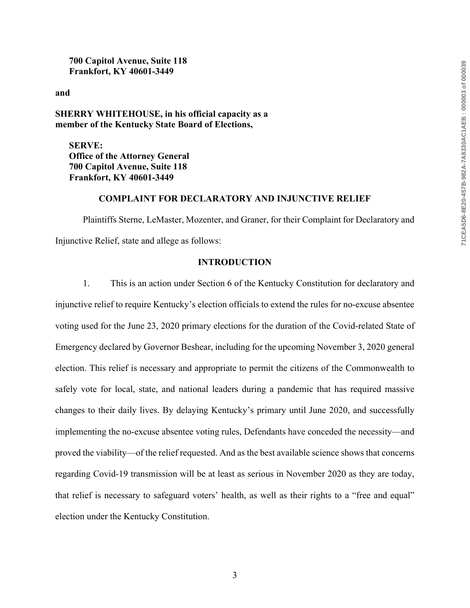**700 Capitol Avenue, Suite 118 Frankfort, KY 40601-3449** 

**and** 

**SHERRY WHITEHOUSE, in his official capacity as a member of the Kentucky State Board of Elections,** 

**SERVE: Office of the Attorney General 700 Capitol Avenue, Suite 118 Frankfort, KY 40601-3449** 

## **COMPLAINT FOR DECLARATORY AND INJUNCTIVE RELIEF**

Plaintiffs Sterne, LeMaster, Mozenter, and Graner, for their Complaint for Declaratory and Injunctive Relief, state and allege as follows:

## **INTRODUCTION**

1. This is an action under Section 6 of the Kentucky Constitution for declaratory and injunctive relief to require Kentucky's election officials to extend the rules for no-excuse absentee voting used for the June 23, 2020 primary elections for the duration of the Covid-related State of Emergency declared by Governor Beshear, including for the upcoming November 3, 2020 general election. This relief is necessary and appropriate to permit the citizens of the Commonwealth to safely vote for local, state, and national leaders during a pandemic that has required massive changes to their daily lives. By delaying Kentucky's primary until June 2020, and successfully implementing the no-excuse absentee voting rules, Defendants have conceded the necessity—and proved the viability—of the relief requested. And as the best available science shows that concerns regarding Covid-19 transmission will be at least as serious in November 2020 as they are today, that relief is necessary to safeguard voters' health, as well as their rights to a "free and equal" election under the Kentucky Constitution.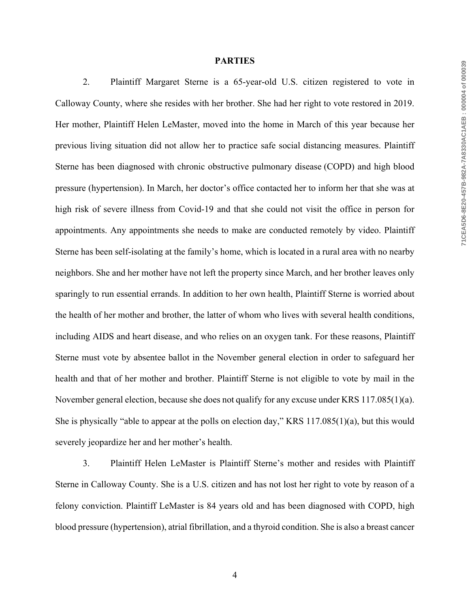#### **PARTIES**

2. Plaintiff Margaret Sterne is a 65-year-old U.S. citizen registered to vote in Calloway County, where she resides with her brother. She had her right to vote restored in 2019. Her mother, Plaintiff Helen LeMaster, moved into the home in March of this year because her previous living situation did not allow her to practice safe social distancing measures. Plaintiff Sterne has been diagnosed with chronic obstructive pulmonary disease (COPD) and high blood pressure (hypertension). In March, her doctor's office contacted her to inform her that she was at high risk of severe illness from Covid-19 and that she could not visit the office in person for appointments. Any appointments she needs to make are conducted remotely by video. Plaintiff Sterne has been self-isolating at the family's home, which is located in a rural area with no nearby neighbors. She and her mother have not left the property since March, and her brother leaves only sparingly to run essential errands. In addition to her own health, Plaintiff Sterne is worried about the health of her mother and brother, the latter of whom who lives with several health conditions, including AIDS and heart disease, and who relies on an oxygen tank. For these reasons, Plaintiff Sterne must vote by absentee ballot in the November general election in order to safeguard her health and that of her mother and brother. Plaintiff Sterne is not eligible to vote by mail in the November general election, because she does not qualify for any excuse under KRS 117.085(1)(a). She is physically "able to appear at the polls on election day," KRS 117.085(1)(a), but this would severely jeopardize her and her mother's health.

3. Plaintiff Helen LeMaster is Plaintiff Sterne's mother and resides with Plaintiff Sterne in Calloway County. She is a U.S. citizen and has not lost her right to vote by reason of a felony conviction. Plaintiff LeMaster is 84 years old and has been diagnosed with COPD, high blood pressure (hypertension), atrial fibrillation, and a thyroid condition. She is also a breast cancer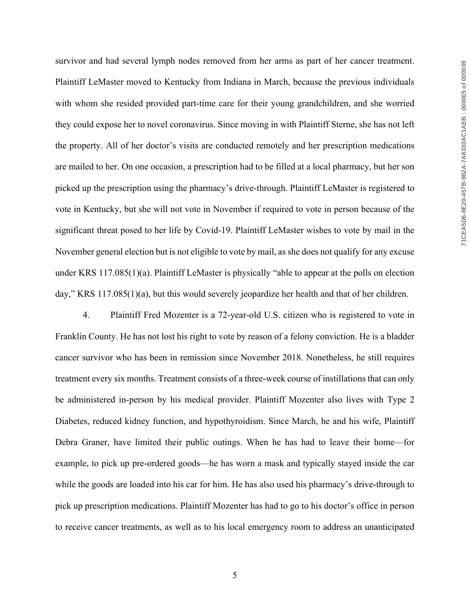survivor and had several lymph nodes removed from her arms as part of her cancer treatment. Plaintiff LeMaster moved to Kentucky from Indiana in March, because the previous individuals with whom she resided provided part-time care for their young grandchildren, and she worried they could expose her to novel coronavirus. Since moving in with Plaintiff Sterne, she has not left the property. All of her doctor's visits are conducted remotely and her prescription medications are mailed to her. On one occasion, a prescription had to be filled at a local pharmacy, but her son picked up the prescription using the pharmacy's drive-through. Plaintiff LeMaster is registered to vote in Kentucky, but she will not vote in November if required to vote in person because of the significant threat posed to her life by Covid-19. Plaintiff LeMaster wishes to vote by mail in the November general election but is not eligible to vote by mail, as she does not qualify for any excuse under KRS 117.085(1)(a). Plaintiff LeMaster is physically "able to appear at the polls on election day," KRS 117.085(1)(a), but this would severely jeopardize her health and that of her children.

4. Plaintiff Fred Mozenter is a 72-year-old U.S. citizen who is registered to vote in Franklin County. He has not lost his right to vote by reason of a felony conviction. He is a bladder cancer survivor who has been in remission since November 2018. Nonetheless, he still requires treatment every six months. Treatment consists of a three-week course of instillations that can only be administered in-person by his medical provider. Plaintiff Mozenter also lives with Type 2 Diabetes, reduced kidney function, and hypothyroidism. Since March, he and his wife, Plaintiff Debra Graner, have limited their public outings. When he has had to leave their home—for example, to pick up pre-ordered goods—he has worn a mask and typically stayed inside the car while the goods are loaded into his car for him. He has also used his pharmacy's drive-through to pick up prescription medications. Plaintiff Mozenter has had to go to his doctor's office in person to receive cancer treatments, as well as to his local emergency room to address an unanticipated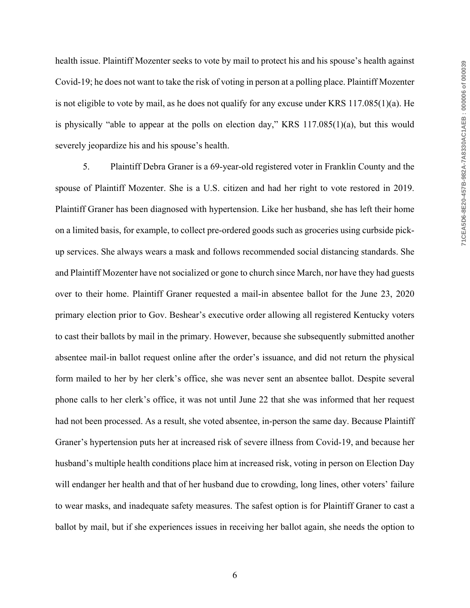health issue. Plaintiff Mozenter seeks to vote by mail to protect his and his spouse's health against Covid-19; he does not want to take the risk of voting in person at a polling place. Plaintiff Mozenter is not eligible to vote by mail, as he does not qualify for any excuse under KRS 117.085(1)(a). He is physically "able to appear at the polls on election day," KRS 117.085(1)(a), but this would severely jeopardize his and his spouse's health.

5. Plaintiff Debra Graner is a 69-year-old registered voter in Franklin County and the spouse of Plaintiff Mozenter. She is a U.S. citizen and had her right to vote restored in 2019. Plaintiff Graner has been diagnosed with hypertension. Like her husband, she has left their home on a limited basis, for example, to collect pre-ordered goods such as groceries using curbside pickup services. She always wears a mask and follows recommended social distancing standards. She and Plaintiff Mozenter have not socialized or gone to church since March, nor have they had guests over to their home. Plaintiff Graner requested a mail-in absentee ballot for the June 23, 2020 primary election prior to Gov. Beshear's executive order allowing all registered Kentucky voters to cast their ballots by mail in the primary. However, because she subsequently submitted another absentee mail-in ballot request online after the order's issuance, and did not return the physical form mailed to her by her clerk's office, she was never sent an absentee ballot. Despite several phone calls to her clerk's office, it was not until June 22 that she was informed that her request had not been processed. As a result, she voted absentee, in-person the same day. Because Plaintiff Graner's hypertension puts her at increased risk of severe illness from Covid-19, and because her husband's multiple health conditions place him at increased risk, voting in person on Election Day will endanger her health and that of her husband due to crowding, long lines, other voters' failure to wear masks, and inadequate safety measures. The safest option is for Plaintiff Graner to cast a ballot by mail, but if she experiences issues in receiving her ballot again, she needs the option to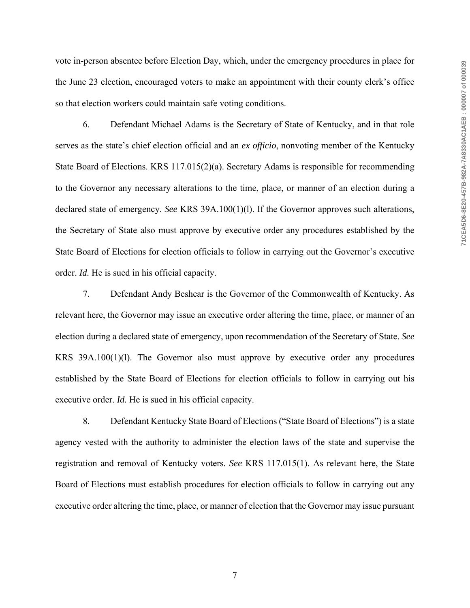vote in-person absentee before Election Day, which, under the emergency procedures in place for the June 23 election, encouraged voters to make an appointment with their county clerk's office so that election workers could maintain safe voting conditions.

6. Defendant Michael Adams is the Secretary of State of Kentucky, and in that role serves as the state's chief election official and an *ex officio*, nonvoting member of the Kentucky State Board of Elections. KRS 117.015(2)(a). Secretary Adams is responsible for recommending to the Governor any necessary alterations to the time, place, or manner of an election during a declared state of emergency. *See* KRS 39A.100(1)(l). If the Governor approves such alterations, the Secretary of State also must approve by executive order any procedures established by the State Board of Elections for election officials to follow in carrying out the Governor's executive order. *Id.* He is sued in his official capacity.

7. Defendant Andy Beshear is the Governor of the Commonwealth of Kentucky. As relevant here, the Governor may issue an executive order altering the time, place, or manner of an election during a declared state of emergency, upon recommendation of the Secretary of State. *See* KRS 39A.100(1)(l). The Governor also must approve by executive order any procedures established by the State Board of Elections for election officials to follow in carrying out his executive order. *Id.* He is sued in his official capacity.

8. Defendant Kentucky State Board of Elections ("State Board of Elections") is a state agency vested with the authority to administer the election laws of the state and supervise the registration and removal of Kentucky voters. *See* KRS 117.015(1). As relevant here, the State Board of Elections must establish procedures for election officials to follow in carrying out any executive order altering the time, place, or manner of election that the Governor may issue pursuant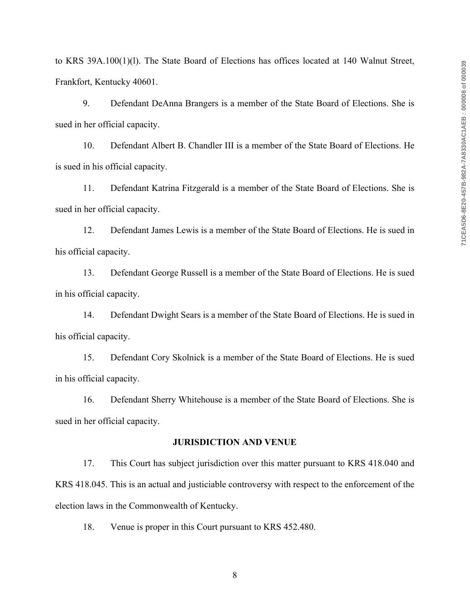to KRS 39A.100(1)(l). The State Board of Elections has offices located at 140 Walnut Street, Frankfort, Kentucky 40601.

9. Defendant DeAnna Brangers is a member of the State Board of Elections. She is sued in her official capacity.

10. Defendant Albert B. Chandler III is a member of the State Board of Elections. He is sued in his official capacity.

11. Defendant Katrina Fitzgerald is a member of the State Board of Elections. She is sued in her official capacity.

12. Defendant James Lewis is a member of the State Board of Elections. He is sued in his official capacity.

13. Defendant George Russell is a member of the State Board of Elections. He is sued in his official capacity.

14. Defendant Dwight Sears is a member of the State Board of Elections. He is sued in his official capacity.

15. Defendant Cory Skolnick is a member of the State Board of Elections. He is sued in his official capacity.

16. Defendant Sherry Whitehouse is a member of the State Board of Elections. She is sued in her official capacity.

### **JURISDICTION AND VENUE**

17. This Court has subject jurisdiction over this matter pursuant to KRS 418.040 and KRS 418.045. This is an actual and justiciable controversy with respect to the enforcement of the election laws in the Commonwealth of Kentucky.

18. Venue is proper in this Court pursuant to KRS 452.480.

8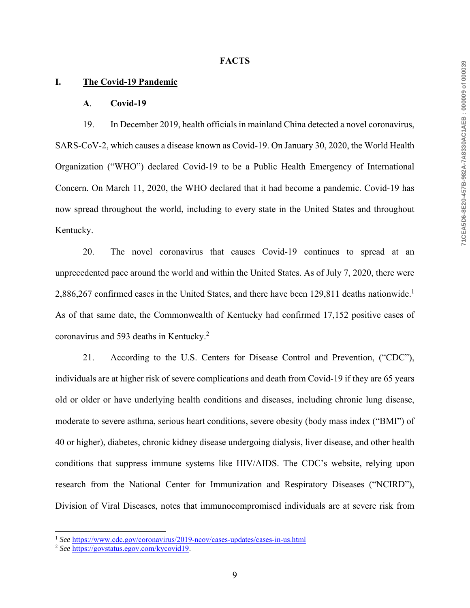#### **FACTS**

### **I. The Covid-19 Pandemic**

#### **A**. **Covid-19**

19. In December 2019, health officials in mainland China detected a novel coronavirus, SARS-CoV-2, which causes a disease known as Covid-19. On January 30, 2020, the World Health Organization ("WHO") declared Covid-19 to be a Public Health Emergency of International Concern. On March 11, 2020, the WHO declared that it had become a pandemic. Covid-19 has now spread throughout the world, including to every state in the United States and throughout Kentucky.

20. The novel coronavirus that causes Covid-19 continues to spread at an unprecedented pace around the world and within the United States. As of July 7, 2020, there were 2,886,267 confirmed cases in the United States, and there have been 129,811 deaths nationwide.<sup>1</sup> As of that same date, the Commonwealth of Kentucky had confirmed 17,152 positive cases of coronavirus and 593 deaths in Kentucky.<sup>2</sup>

21. According to the U.S. Centers for Disease Control and Prevention, ("CDC"), individuals are at higher risk of severe complications and death from Covid-19 if they are 65 years old or older or have underlying health conditions and diseases, including chronic lung disease, moderate to severe asthma, serious heart conditions, severe obesity (body mass index ("BMI") of 40 or higher), diabetes, chronic kidney disease undergoing dialysis, liver disease, and other health conditions that suppress immune systems like HIV/AIDS. The CDC's website, relying upon research from the National Center for Immunization and Respiratory Diseases ("NCIRD"), Division of Viral Diseases, notes that immunocompromised individuals are at severe risk from

<sup>&</sup>lt;sup>1</sup> See https://www.cdc.gov/coronavirus/2019-ncov/cases-updates/cases-in-us.html

<sup>2</sup> *See* https://govstatus.egov.com/kycovid19.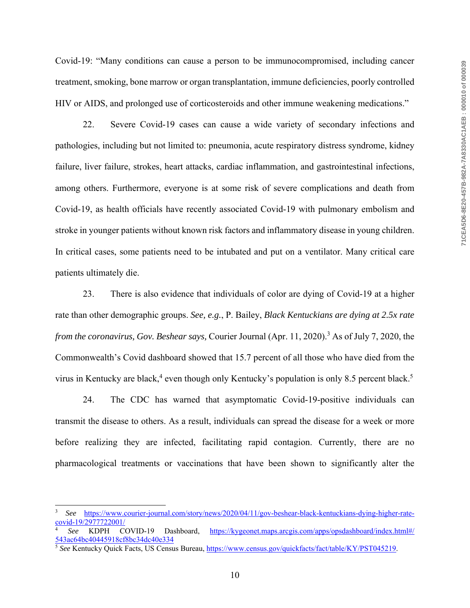Covid-19: "Many conditions can cause a person to be immunocompromised, including cancer treatment, smoking, bone marrow or organ transplantation, immune deficiencies, poorly controlled HIV or AIDS, and prolonged use of corticosteroids and other immune weakening medications."

22. Severe Covid-19 cases can cause a wide variety of secondary infections and pathologies, including but not limited to: pneumonia, acute respiratory distress syndrome, kidney failure, liver failure, strokes, heart attacks, cardiac inflammation, and gastrointestinal infections, among others. Furthermore, everyone is at some risk of severe complications and death from Covid-19, as health officials have recently associated Covid-19 with pulmonary embolism and stroke in younger patients without known risk factors and inflammatory disease in young children. In critical cases, some patients need to be intubated and put on a ventilator. Many critical care patients ultimately die.

23. There is also evidence that individuals of color are dying of Covid-19 at a higher rate than other demographic groups. *See, e.g.*, P. Bailey, *Black Kentuckians are dying at 2.5x rate from the coronavirus, Gov. Beshear says,* Courier Journal (Apr. 11, 2020).3 As of July 7, 2020, the Commonwealth's Covid dashboard showed that 15.7 percent of all those who have died from the virus in Kentucky are black,<sup>4</sup> even though only Kentucky's population is only 8.5 percent black.<sup>5</sup>

24. The CDC has warned that asymptomatic Covid-19-positive individuals can transmit the disease to others. As a result, individuals can spread the disease for a week or more before realizing they are infected, facilitating rapid contagion. Currently, there are no pharmacological treatments or vaccinations that have been shown to significantly alter the

<sup>3</sup> *See* https://www.courier-journal.com/story/news/2020/04/11/gov-beshear-black-kentuckians-dying-higher-ratecovid-19/2977722001/

<sup>4</sup> *See* KDPH COVID-19 Dashboard, https://kygeonet.maps.arcgis.com/apps/opsdashboard/index.html#/

<sup>&</sup>lt;sup>5</sup> See Kentucky Quick Facts, US Census Bureau, https://www.census.gov/quickfacts/fact/table/KY/PST045219.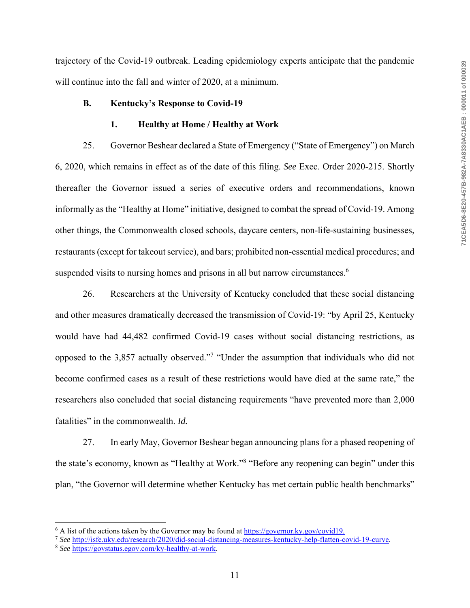trajectory of the Covid-19 outbreak. Leading epidemiology experts anticipate that the pandemic will continue into the fall and winter of 2020, at a minimum.

#### **B. Kentucky's Response to Covid-19**

### **1. Healthy at Home / Healthy at Work**

25. Governor Beshear declared a State of Emergency ("State of Emergency") on March 6, 2020, which remains in effect as of the date of this filing. *See* Exec. Order 2020-215. Shortly thereafter the Governor issued a series of executive orders and recommendations, known informally as the "Healthy at Home" initiative, designed to combat the spread of Covid-19. Among other things, the Commonwealth closed schools, daycare centers, non-life-sustaining businesses, restaurants (except for takeout service), and bars; prohibited non-essential medical procedures; and suspended visits to nursing homes and prisons in all but narrow circumstances.<sup>6</sup>

26. Researchers at the University of Kentucky concluded that these social distancing and other measures dramatically decreased the transmission of Covid-19: "by April 25, Kentucky would have had 44,482 confirmed Covid-19 cases without social distancing restrictions, as opposed to the 3,857 actually observed."<sup>7</sup> "Under the assumption that individuals who did not become confirmed cases as a result of these restrictions would have died at the same rate," the researchers also concluded that social distancing requirements "have prevented more than 2,000 fatalities" in the commonwealth. *Id.*

27. In early May, Governor Beshear began announcing plans for a phased reopening of the state's economy, known as "Healthy at Work."<sup>8</sup> "Before any reopening can begin" under this plan, "the Governor will determine whether Kentucky has met certain public health benchmarks"

<sup>&</sup>lt;sup>6</sup> A list of the actions taken by the Governor may be found at https://governor.ky.gov/covid19.

<sup>7</sup> *See* http://isfe.uky.edu/research/2020/did-social-distancing-measures-kentucky-help-flatten-covid-19-curve. 8 *See* https://govstatus.egov.com/ky-healthy-at-work.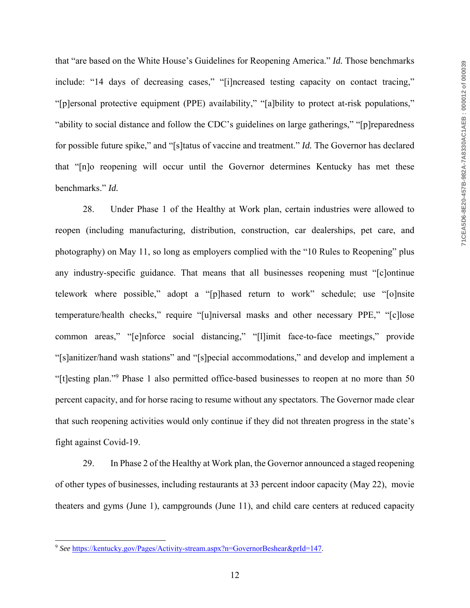that "are based on the White House's Guidelines for Reopening America." *Id.* Those benchmarks include: "14 days of decreasing cases," "[i]ncreased testing capacity on contact tracing," "[p]ersonal protective equipment (PPE) availability," "[a]bility to protect at-risk populations," "ability to social distance and follow the CDC's guidelines on large gatherings," "[p]reparedness for possible future spike," and "[s]tatus of vaccine and treatment." *Id.* The Governor has declared that "[n]o reopening will occur until the Governor determines Kentucky has met these benchmarks." *Id.*

28. Under Phase 1 of the Healthy at Work plan, certain industries were allowed to reopen (including manufacturing, distribution, construction, car dealerships, pet care, and photography) on May 11, so long as employers complied with the "10 Rules to Reopening" plus any industry-specific guidance. That means that all businesses reopening must "[c]ontinue telework where possible," adopt a "[p]hased return to work" schedule; use "[o]nsite temperature/health checks," require "[u]niversal masks and other necessary PPE," "[c]lose common areas," "[e]nforce social distancing," "[l]imit face-to-face meetings," provide "[s]anitizer/hand wash stations" and "[s]pecial accommodations," and develop and implement a "[t]esting plan."<sup>9</sup> Phase 1 also permitted office-based businesses to reopen at no more than 50 percent capacity, and for horse racing to resume without any spectators. The Governor made clear that such reopening activities would only continue if they did not threaten progress in the state's fight against Covid-19.

29. In Phase 2 of the Healthy at Work plan, the Governor announced a staged reopening of other types of businesses, including restaurants at 33 percent indoor capacity (May 22), movie theaters and gyms (June 1), campgrounds (June 11), and child care centers at reduced capacity

<sup>9</sup> *See* https://kentucky.gov/Pages/Activity-stream.aspx?n=GovernorBeshear&prId=147.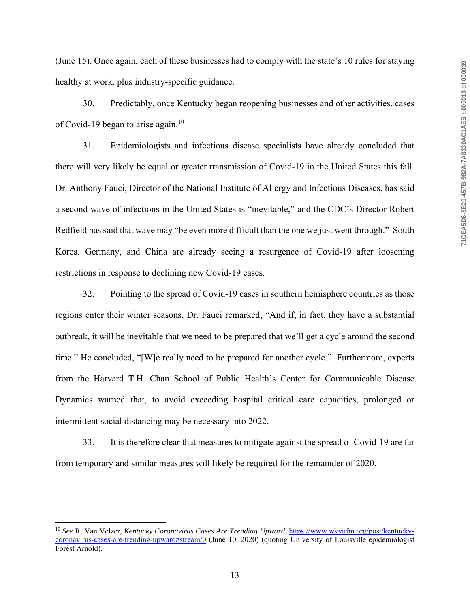(June 15). Once again, each of these businesses had to comply with the state's 10 rules for staying healthy at work, plus industry-specific guidance.

30. Predictably, once Kentucky began reopening businesses and other activities, cases of Covid-19 began to arise again.<sup>10</sup>

31. Epidemiologists and infectious disease specialists have already concluded that there will very likely be equal or greater transmission of Covid-19 in the United States this fall. Dr. Anthony Fauci, Director of the National Institute of Allergy and Infectious Diseases, has said a second wave of infections in the United States is "inevitable," and the CDC's Director Robert Redfield has said that wave may "be even more difficult than the one we just went through." South Korea, Germany, and China are already seeing a resurgence of Covid-19 after loosening restrictions in response to declining new Covid-19 cases.

32. Pointing to the spread of Covid-19 cases in southern hemisphere countries as those regions enter their winter seasons, Dr. Fauci remarked, "And if, in fact, they have a substantial outbreak, it will be inevitable that we need to be prepared that we'll get a cycle around the second time." He concluded, "[W]e really need to be prepared for another cycle." Furthermore, experts from the Harvard T.H. Chan School of Public Health's Center for Communicable Disease Dynamics warned that, to avoid exceeding hospital critical care capacities, prolonged or intermittent social distancing may be necessary into 2022.

33. It is therefore clear that measures to mitigate against the spread of Covid-19 are far from temporary and similar measures will likely be required for the remainder of 2020.

<sup>10</sup> *See* R. Van Velzer, *Kentucky Coronavirus Cases Are Trending Upward*, https://www.wkyufm.org/post/kentuckycoronavirus-cases-are-trending-upward#stream/0 (June 10, 2020) (quoting University of Louisville epidemiologist Forest Arnold).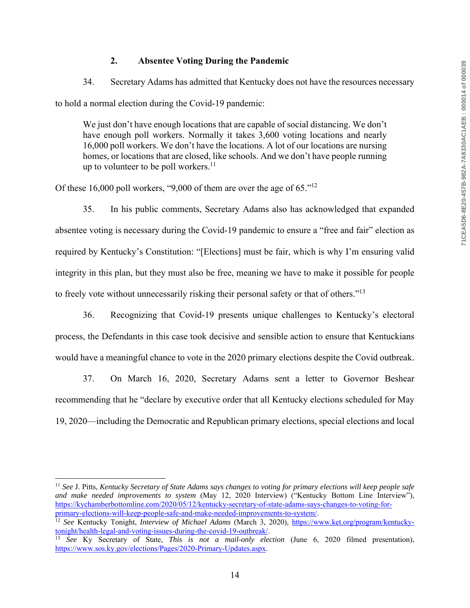# **2. Absentee Voting During the Pandemic**

34. Secretary Adams has admitted that Kentucky does not have the resources necessary to hold a normal election during the Covid-19 pandemic:

We just don't have enough locations that are capable of social distancing. We don't have enough poll workers. Normally it takes 3,600 voting locations and nearly 16,000 poll workers. We don't have the locations. A lot of our locations are nursing homes, or locations that are closed, like schools. And we don't have people running up to volunteer to be poll workers. $^{11}$ 

Of these 16,000 poll workers, "9,000 of them are over the age of 65."12

35. In his public comments, Secretary Adams also has acknowledged that expanded absentee voting is necessary during the Covid-19 pandemic to ensure a "free and fair" election as required by Kentucky's Constitution: "[Elections] must be fair, which is why I'm ensuring valid integrity in this plan, but they must also be free, meaning we have to make it possible for people to freely vote without unnecessarily risking their personal safety or that of others."<sup>13</sup>

36. Recognizing that Covid-19 presents unique challenges to Kentucky's electoral process, the Defendants in this case took decisive and sensible action to ensure that Kentuckians would have a meaningful chance to vote in the 2020 primary elections despite the Covid outbreak.

37. On March 16, 2020, Secretary Adams sent a letter to Governor Beshear recommending that he "declare by executive order that all Kentucky elections scheduled for May 19, 2020—including the Democratic and Republican primary elections, special elections and local

<sup>11</sup> *See* J. Pitts, *Kentucky Secretary of State Adams says changes to voting for primary elections will keep people safe and make needed improvements to system* (May 12, 2020 Interview) ("Kentucky Bottom Line Interview"), https://kychamberbottomline.com/2020/05/12/kentucky-secretary-of-state-adams-says-changes-to-voting-for-

<sup>&</sup>lt;sup>12</sup> See Kentucky Tonight, *Interview of Michael Adams* (March 3, 2020), <u>https://www.ket.org/program/kentucky-tonight/health-legal-and-voting-issues-during-the-covid-19-outbreak/.</u>

tonight health-legal-and-voting-issues-during-in-during-the-covid-19-outbreak/. 13 *See* Ky Secretary of State, *This is not a mail-only election* (June 6, 2020 filmed presentation), https://www.sos.ky.gov/elections/Pages/2020-Primary-Updates.aspx.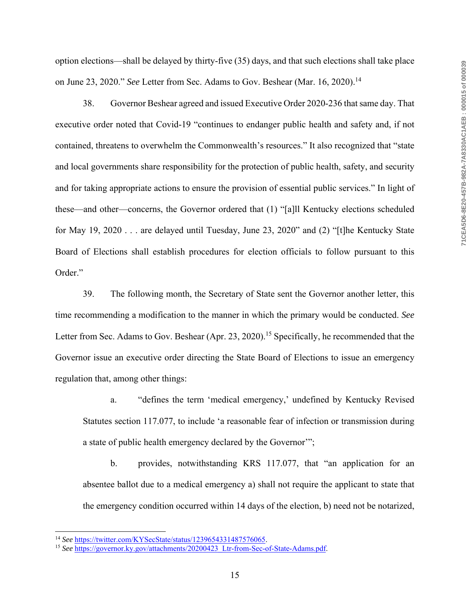option elections—shall be delayed by thirty-five (35) days, and that such elections shall take place on June 23, 2020." *See* Letter from Sec. Adams to Gov. Beshear (Mar. 16, 2020).<sup>14</sup>

38. Governor Beshear agreed and issued Executive Order 2020-236 that same day. That executive order noted that Covid-19 "continues to endanger public health and safety and, if not contained, threatens to overwhelm the Commonwealth's resources." It also recognized that "state and local governments share responsibility for the protection of public health, safety, and security and for taking appropriate actions to ensure the provision of essential public services." In light of these—and other—concerns, the Governor ordered that (1) "[a]ll Kentucky elections scheduled for May 19, 2020 . . . are delayed until Tuesday, June 23, 2020" and (2) "[t]he Kentucky State Board of Elections shall establish procedures for election officials to follow pursuant to this Order."

39. The following month, the Secretary of State sent the Governor another letter, this time recommending a modification to the manner in which the primary would be conducted. *See* Letter from Sec. Adams to Gov. Beshear (Apr. 23, 2020).<sup>15</sup> Specifically, he recommended that the Governor issue an executive order directing the State Board of Elections to issue an emergency regulation that, among other things:

a. "defines the term 'medical emergency,' undefined by Kentucky Revised Statutes section 117.077, to include 'a reasonable fear of infection or transmission during a state of public health emergency declared by the Governor'";

b. provides, notwithstanding KRS 117.077, that "an application for an absentee ballot due to a medical emergency a) shall not require the applicant to state that the emergency condition occurred within 14 days of the election, b) need not be notarized,

<sup>&</sup>lt;sup>14</sup> See https://twitter.com/KYSecState/status/1239654331487576065.<br><sup>15</sup> See https://governor.ky.gov/attachments/20200423\_Ltr-from-Sec-of-State-Adams.pdf.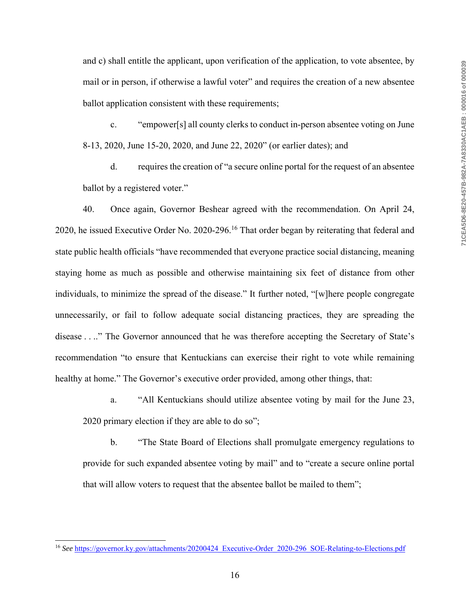and c) shall entitle the applicant, upon verification of the application, to vote absentee, by mail or in person, if otherwise a lawful voter" and requires the creation of a new absentee ballot application consistent with these requirements;

c. "empower[s] all county clerks to conduct in-person absentee voting on June 8-13, 2020, June 15-20, 2020, and June 22, 2020" (or earlier dates); and

d. requires the creation of "a secure online portal for the request of an absentee ballot by a registered voter."

40. Once again, Governor Beshear agreed with the recommendation. On April 24, 2020, he issued Executive Order No. 2020-296.16 That order began by reiterating that federal and state public health officials "have recommended that everyone practice social distancing, meaning staying home as much as possible and otherwise maintaining six feet of distance from other individuals, to minimize the spread of the disease." It further noted, "[w]here people congregate unnecessarily, or fail to follow adequate social distancing practices, they are spreading the disease . . .." The Governor announced that he was therefore accepting the Secretary of State's recommendation "to ensure that Kentuckians can exercise their right to vote while remaining healthy at home." The Governor's executive order provided, among other things, that:

a. "All Kentuckians should utilize absentee voting by mail for the June 23, 2020 primary election if they are able to do so";

b. "The State Board of Elections shall promulgate emergency regulations to provide for such expanded absentee voting by mail" and to "create a secure online portal that will allow voters to request that the absentee ballot be mailed to them";

<sup>&</sup>lt;sup>16</sup> See https://governor.ky.gov/attachments/20200424 Executive-Order 2020-296 SOE-Relating-to-Elections.pdf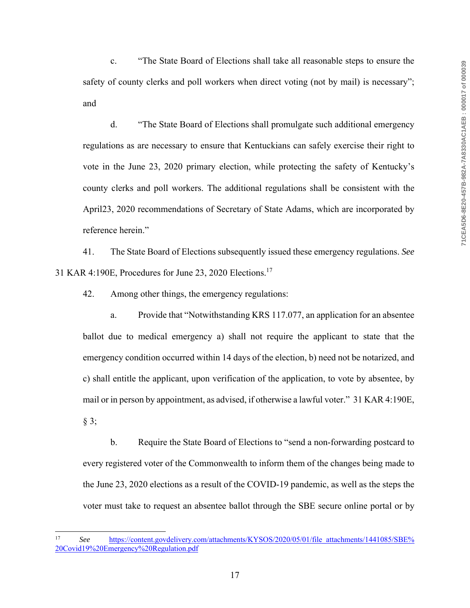c. "The State Board of Elections shall take all reasonable steps to ensure the safety of county clerks and poll workers when direct voting (not by mail) is necessary"; and

d. "The State Board of Elections shall promulgate such additional emergency regulations as are necessary to ensure that Kentuckians can safely exercise their right to vote in the June 23, 2020 primary election, while protecting the safety of Kentucky's county clerks and poll workers. The additional regulations shall be consistent with the April23, 2020 recommendations of Secretary of State Adams, which are incorporated by reference herein."

41. The State Board of Elections subsequently issued these emergency regulations. *See* 31 KAR 4:190E, Procedures for June 23, 2020 Elections.17

42. Among other things, the emergency regulations:

a. Provide that "Notwithstanding KRS 117.077, an application for an absentee ballot due to medical emergency a) shall not require the applicant to state that the emergency condition occurred within 14 days of the election, b) need not be notarized, and c) shall entitle the applicant, upon verification of the application, to vote by absentee, by mail or in person by appointment, as advised, if otherwise a lawful voter." 31 KAR 4:190E, § 3;

b. Require the State Board of Elections to "send a non-forwarding postcard to every registered voter of the Commonwealth to inform them of the changes being made to the June 23, 2020 elections as a result of the COVID-19 pandemic, as well as the steps the voter must take to request an absentee ballot through the SBE secure online portal or by

<sup>17</sup> *See* https://content.govdelivery.com/attachments/KYSOS/2020/05/01/file\_attachments/1441085/SBE% 20Covid19%20Emergency%20Regulation.pdf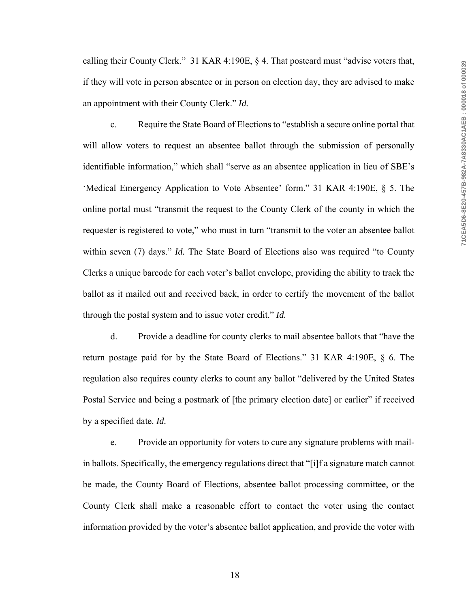calling their County Clerk." 31 KAR 4:190E, § 4. That postcard must "advise voters that, if they will vote in person absentee or in person on election day, they are advised to make an appointment with their County Clerk." *Id.*

c. Require the State Board of Elections to "establish a secure online portal that will allow voters to request an absentee ballot through the submission of personally identifiable information," which shall "serve as an absentee application in lieu of SBE's 'Medical Emergency Application to Vote Absentee' form." 31 KAR 4:190E, § 5. The online portal must "transmit the request to the County Clerk of the county in which the requester is registered to vote," who must in turn "transmit to the voter an absentee ballot within seven (7) days." *Id*. The State Board of Elections also was required "to County" Clerks a unique barcode for each voter's ballot envelope, providing the ability to track the ballot as it mailed out and received back, in order to certify the movement of the ballot through the postal system and to issue voter credit." *Id.*

d. Provide a deadline for county clerks to mail absentee ballots that "have the return postage paid for by the State Board of Elections." 31 KAR 4:190E, § 6. The regulation also requires county clerks to count any ballot "delivered by the United States Postal Service and being a postmark of [the primary election date] or earlier" if received by a specified date. *Id.*

e. Provide an opportunity for voters to cure any signature problems with mailin ballots. Specifically, the emergency regulations direct that "[i]f a signature match cannot be made, the County Board of Elections, absentee ballot processing committee, or the County Clerk shall make a reasonable effort to contact the voter using the contact information provided by the voter's absentee ballot application, and provide the voter with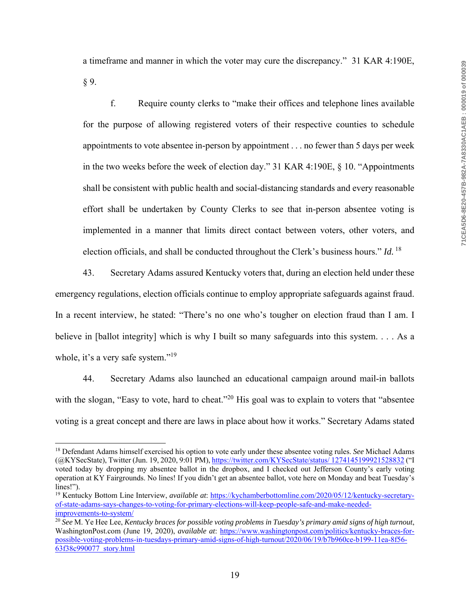a timeframe and manner in which the voter may cure the discrepancy." 31 KAR 4:190E, § 9.

f. Require county clerks to "make their offices and telephone lines available for the purpose of allowing registered voters of their respective counties to schedule appointments to vote absentee in-person by appointment . . . no fewer than 5 days per week in the two weeks before the week of election day." 31 KAR 4:190E, § 10. "Appointments shall be consistent with public health and social-distancing standards and every reasonable effort shall be undertaken by County Clerks to see that in-person absentee voting is implemented in a manner that limits direct contact between voters, other voters, and election officials, and shall be conducted throughout the Clerk's business hours." *Id.*<sup>18</sup>

43. Secretary Adams assured Kentucky voters that, during an election held under these emergency regulations, election officials continue to employ appropriate safeguards against fraud. In a recent interview, he stated: "There's no one who's tougher on election fraud than I am. I believe in [ballot integrity] which is why I built so many safeguards into this system. . . . As a whole, it's a very safe system."<sup>19</sup>

44. Secretary Adams also launched an educational campaign around mail-in ballots with the slogan, "Easy to vote, hard to cheat."<sup>20</sup> His goal was to explain to voters that "absentee voting is a great concept and there are laws in place about how it works." Secretary Adams stated

<sup>18</sup> Defendant Adams himself exercised his option to vote early under these absentee voting rules. *See* Michael Adams (@KYSecState), Twitter (Jun. 19, 2020, 9:01 PM), https://twitter.com/KYSecState/status/ 1274145199921528832 ("I voted today by dropping my absentee ballot in the dropbox, and I checked out Jefferson County's early voting operation at KY Fairgrounds. No lines! If you didn't get an absentee ballot, vote here on Monday and beat Tuesday's lines!").

<sup>19</sup> Kentucky Bottom Line Interview, *available at*: https://kychamberbottomline.com/2020/05/12/kentucky-secretaryof-state-adams-says-changes-to-voting-for-primary-elections-will-keep-people-safe-and-make-neededimprovements-to-system/

<sup>20</sup> *See* M. Ye Hee Lee, *Kentucky braces for possible voting problems in Tuesday's primary amid signs of high turnout*, WashingtonPost.com (June 19, 2020), *available at*: https://www.washingtonpost.com/politics/kentucky-braces-forpossible-voting-problems-in-tuesdays-primary-amid-signs-of-high-turnout/2020/06/19/b7b960ce-b199-11ea-8f56- 63f38c990077\_story.html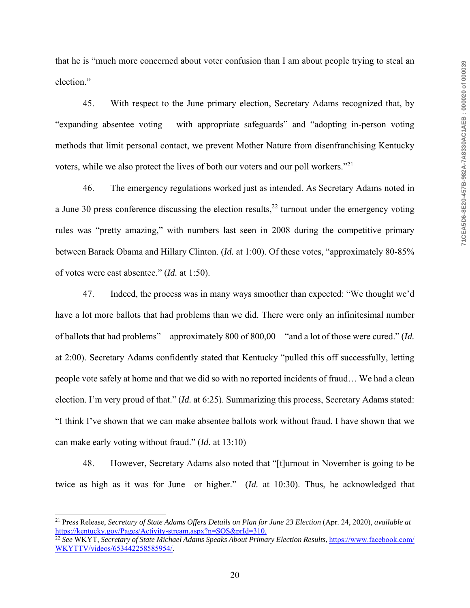that he is "much more concerned about voter confusion than I am about people trying to steal an election."

45. With respect to the June primary election, Secretary Adams recognized that, by "expanding absentee voting – with appropriate safeguards" and "adopting in-person voting methods that limit personal contact, we prevent Mother Nature from disenfranchising Kentucky voters, while we also protect the lives of both our voters and our poll workers."21

46. The emergency regulations worked just as intended. As Secretary Adams noted in a June 30 press conference discussing the election results,  $22$  turnout under the emergency voting rules was "pretty amazing," with numbers last seen in 2008 during the competitive primary between Barack Obama and Hillary Clinton. (*Id.* at 1:00). Of these votes, "approximately 80-85% of votes were cast absentee." (*Id.* at 1:50).

47. Indeed, the process was in many ways smoother than expected: "We thought we'd have a lot more ballots that had problems than we did. There were only an infinitesimal number of ballots that had problems"—approximately 800 of 800,00—"and a lot of those were cured." (*Id.* at 2:00). Secretary Adams confidently stated that Kentucky "pulled this off successfully, letting people vote safely at home and that we did so with no reported incidents of fraud… We had a clean election. I'm very proud of that." (*Id.* at 6:25). Summarizing this process, Secretary Adams stated: "I think I've shown that we can make absentee ballots work without fraud. I have shown that we can make early voting without fraud." (*Id.* at 13:10)

48. However, Secretary Adams also noted that "[t]urnout in November is going to be twice as high as it was for June—or higher." (*Id.* at 10:30). Thus, he acknowledged that

<sup>21</sup> Press Release, *Secretary of State Adams Offers Details on Plan for June 23 Election* (Apr. 24, 2020), *available at* https://kentucky.gov/Pages/Activity-stream.aspx?n=SOS&prId=310.

<sup>22</sup> *See* WKYT, *Secretary of State Michael Adams Speaks About Primary Election Results*, https://www.facebook.com/ WKYTTV/videos/653442258585954/.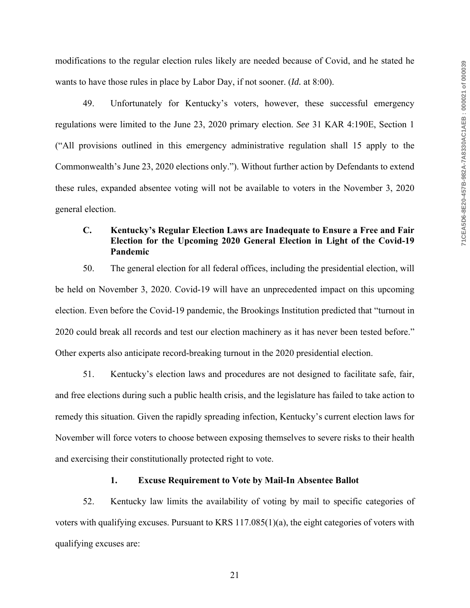modifications to the regular election rules likely are needed because of Covid, and he stated he wants to have those rules in place by Labor Day, if not sooner. (*Id.* at 8:00).

49. Unfortunately for Kentucky's voters, however, these successful emergency regulations were limited to the June 23, 2020 primary election. *See* 31 KAR 4:190E, Section 1 ("All provisions outlined in this emergency administrative regulation shall 15 apply to the Commonwealth's June 23, 2020 elections only."). Without further action by Defendants to extend these rules, expanded absentee voting will not be available to voters in the November 3, 2020 general election.

# **C. Kentucky's Regular Election Laws are Inadequate to Ensure a Free and Fair Election for the Upcoming 2020 General Election in Light of the Covid-19 Pandemic**

50. The general election for all federal offices, including the presidential election, will be held on November 3, 2020. Covid-19 will have an unprecedented impact on this upcoming election. Even before the Covid-19 pandemic, the Brookings Institution predicted that "turnout in 2020 could break all records and test our election machinery as it has never been tested before." Other experts also anticipate record-breaking turnout in the 2020 presidential election.

51. Kentucky's election laws and procedures are not designed to facilitate safe, fair, and free elections during such a public health crisis, and the legislature has failed to take action to remedy this situation. Given the rapidly spreading infection, Kentucky's current election laws for November will force voters to choose between exposing themselves to severe risks to their health and exercising their constitutionally protected right to vote.

### **1. Excuse Requirement to Vote by Mail-In Absentee Ballot**

52. Kentucky law limits the availability of voting by mail to specific categories of voters with qualifying excuses. Pursuant to KRS 117.085(1)(a), the eight categories of voters with qualifying excuses are: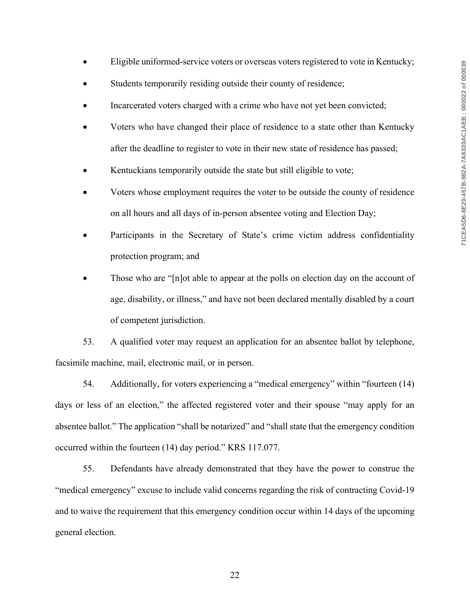- Eligible uniformed-service voters or overseas voters registered to vote in Kentucky;
- Students temporarily residing outside their county of residence;
- Incarcerated voters charged with a crime who have not yet been convicted;
- Voters who have changed their place of residence to a state other than Kentucky after the deadline to register to vote in their new state of residence has passed;
- Kentuckians temporarily outside the state but still eligible to vote;
- Voters whose employment requires the voter to be outside the county of residence on all hours and all days of in-person absentee voting and Election Day;
- Participants in the Secretary of State's crime victim address confidentiality protection program; and
- Those who are "[n]ot able to appear at the polls on election day on the account of age, disability, or illness," and have not been declared mentally disabled by a court of competent jurisdiction.

53. A qualified voter may request an application for an absentee ballot by telephone, facsimile machine, mail, electronic mail, or in person.

54. Additionally, for voters experiencing a "medical emergency" within "fourteen (14) days or less of an election," the affected registered voter and their spouse "may apply for an absentee ballot." The application "shall be notarized" and "shall state that the emergency condition occurred within the fourteen (14) day period." KRS 117.077.

55. Defendants have already demonstrated that they have the power to construe the "medical emergency" excuse to include valid concerns regarding the risk of contracting Covid-19 and to waive the requirement that this emergency condition occur within 14 days of the upcoming general election.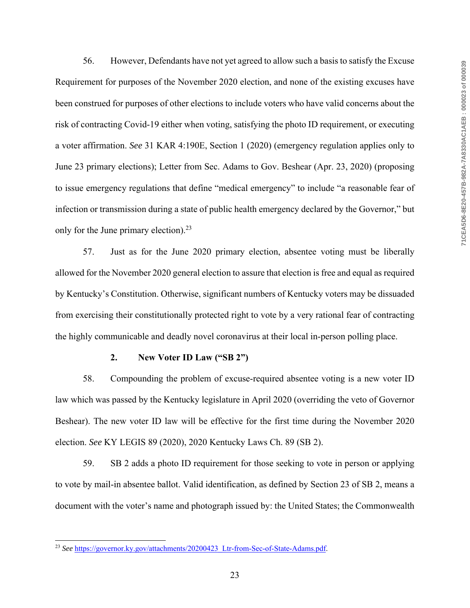56. However, Defendants have not yet agreed to allow such a basis to satisfy the Excuse Requirement for purposes of the November 2020 election, and none of the existing excuses have been construed for purposes of other elections to include voters who have valid concerns about the risk of contracting Covid-19 either when voting, satisfying the photo ID requirement, or executing a voter affirmation. *See* 31 KAR 4:190E, Section 1 (2020) (emergency regulation applies only to June 23 primary elections); Letter from Sec. Adams to Gov. Beshear (Apr. 23, 2020) (proposing to issue emergency regulations that define "medical emergency" to include "a reasonable fear of infection or transmission during a state of public health emergency declared by the Governor," but only for the June primary election). $23$ 

57. Just as for the June 2020 primary election, absentee voting must be liberally allowed for the November 2020 general election to assure that election is free and equal as required by Kentucky's Constitution. Otherwise, significant numbers of Kentucky voters may be dissuaded from exercising their constitutionally protected right to vote by a very rational fear of contracting the highly communicable and deadly novel coronavirus at their local in-person polling place.

### **2. New Voter ID Law ("SB 2")**

58. Compounding the problem of excuse-required absentee voting is a new voter ID law which was passed by the Kentucky legislature in April 2020 (overriding the veto of Governor Beshear). The new voter ID law will be effective for the first time during the November 2020 election. *See* KY LEGIS 89 (2020), 2020 Kentucky Laws Ch. 89 (SB 2).

59. SB 2 adds a photo ID requirement for those seeking to vote in person or applying to vote by mail-in absentee ballot. Valid identification, as defined by Section 23 of SB 2, means a document with the voter's name and photograph issued by: the United States; the Commonwealth

<sup>&</sup>lt;sup>23</sup> See https://governor.ky.gov/attachments/20200423 Ltr-from-Sec-of-State-Adams.pdf.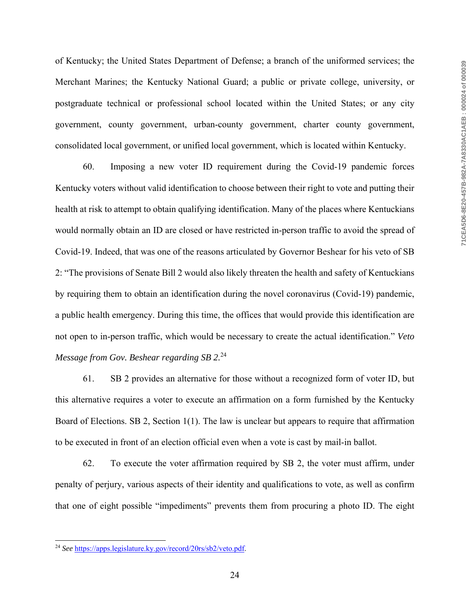of Kentucky; the United States Department of Defense; a branch of the uniformed services; the Merchant Marines; the Kentucky National Guard; a public or private college, university, or postgraduate technical or professional school located within the United States; or any city government, county government, urban-county government, charter county government, consolidated local government, or unified local government, which is located within Kentucky.

60. Imposing a new voter ID requirement during the Covid-19 pandemic forces Kentucky voters without valid identification to choose between their right to vote and putting their health at risk to attempt to obtain qualifying identification. Many of the places where Kentuckians would normally obtain an ID are closed or have restricted in-person traffic to avoid the spread of Covid-19. Indeed, that was one of the reasons articulated by Governor Beshear for his veto of SB 2: "The provisions of Senate Bill 2 would also likely threaten the health and safety of Kentuckians by requiring them to obtain an identification during the novel coronavirus (Covid-19) pandemic, a public health emergency. During this time, the offices that would provide this identification are not open to in-person traffic, which would be necessary to create the actual identification." *Veto Message from Gov. Beshear regarding SB 2.*24

61. SB 2 provides an alternative for those without a recognized form of voter ID, but this alternative requires a voter to execute an affirmation on a form furnished by the Kentucky Board of Elections. SB 2, Section 1(1). The law is unclear but appears to require that affirmation to be executed in front of an election official even when a vote is cast by mail-in ballot.

62. To execute the voter affirmation required by SB 2, the voter must affirm, under penalty of perjury, various aspects of their identity and qualifications to vote, as well as confirm that one of eight possible "impediments" prevents them from procuring a photo ID. The eight

<sup>24</sup> *See* https://apps.legislature.ky.gov/record/20rs/sb2/veto.pdf.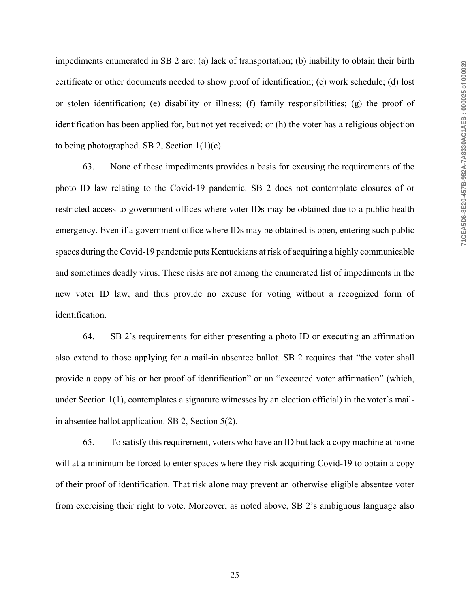impediments enumerated in SB 2 are: (a) lack of transportation; (b) inability to obtain their birth certificate or other documents needed to show proof of identification; (c) work schedule; (d) lost or stolen identification; (e) disability or illness; (f) family responsibilities; (g) the proof of identification has been applied for, but not yet received; or (h) the voter has a religious objection to being photographed. SB 2, Section 1(1)(c).

63. None of these impediments provides a basis for excusing the requirements of the photo ID law relating to the Covid-19 pandemic. SB 2 does not contemplate closures of or restricted access to government offices where voter IDs may be obtained due to a public health emergency. Even if a government office where IDs may be obtained is open, entering such public spaces during the Covid-19 pandemic puts Kentuckians at risk of acquiring a highly communicable and sometimes deadly virus. These risks are not among the enumerated list of impediments in the new voter ID law, and thus provide no excuse for voting without a recognized form of identification.

64. SB 2's requirements for either presenting a photo ID or executing an affirmation also extend to those applying for a mail-in absentee ballot. SB 2 requires that "the voter shall provide a copy of his or her proof of identification" or an "executed voter affirmation" (which, under Section 1(1), contemplates a signature witnesses by an election official) in the voter's mailin absentee ballot application. SB 2, Section 5(2).

65. To satisfy this requirement, voters who have an ID but lack a copy machine at home will at a minimum be forced to enter spaces where they risk acquiring Covid-19 to obtain a copy of their proof of identification. That risk alone may prevent an otherwise eligible absentee voter from exercising their right to vote. Moreover, as noted above, SB 2's ambiguous language also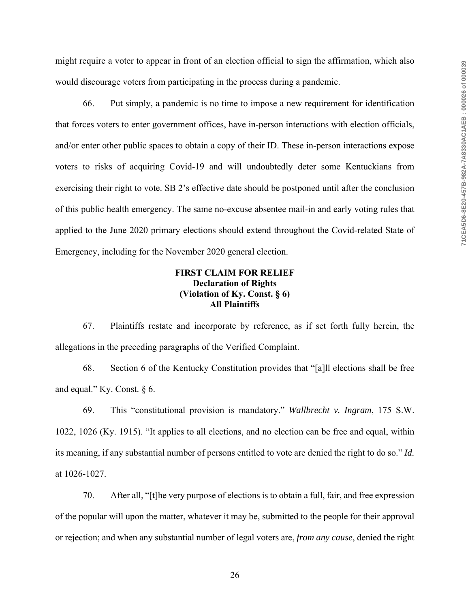might require a voter to appear in front of an election official to sign the affirmation, which also would discourage voters from participating in the process during a pandemic.

66. Put simply, a pandemic is no time to impose a new requirement for identification that forces voters to enter government offices, have in-person interactions with election officials, and/or enter other public spaces to obtain a copy of their ID. These in-person interactions expose voters to risks of acquiring Covid-19 and will undoubtedly deter some Kentuckians from exercising their right to vote. SB 2's effective date should be postponed until after the conclusion of this public health emergency. The same no-excuse absentee mail-in and early voting rules that applied to the June 2020 primary elections should extend throughout the Covid-related State of Emergency, including for the November 2020 general election.

# **FIRST CLAIM FOR RELIEF Declaration of Rights (Violation of Ky. Const. § 6) All Plaintiffs**

67. Plaintiffs restate and incorporate by reference, as if set forth fully herein, the allegations in the preceding paragraphs of the Verified Complaint.

68. Section 6 of the Kentucky Constitution provides that "[a]ll elections shall be free and equal." Ky. Const. § 6.

69. This "constitutional provision is mandatory." *Wallbrecht v. Ingram*, 175 S.W. 1022, 1026 (Ky. 1915). "It applies to all elections, and no election can be free and equal, within its meaning, if any substantial number of persons entitled to vote are denied the right to do so." *Id.* at 1026-1027.

70. After all, "[t]he very purpose of elections is to obtain a full, fair, and free expression of the popular will upon the matter, whatever it may be, submitted to the people for their approval or rejection; and when any substantial number of legal voters are, *from any cause*, denied the right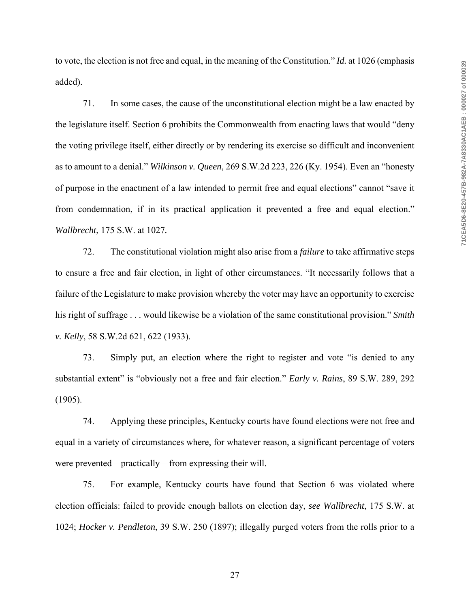to vote, the election is not free and equal, in the meaning of the Constitution." *Id.* at 1026 (emphasis added).

71. In some cases, the cause of the unconstitutional election might be a law enacted by the legislature itself. Section 6 prohibits the Commonwealth from enacting laws that would "deny the voting privilege itself, either directly or by rendering its exercise so difficult and inconvenient as to amount to a denial." *Wilkinson v. Queen*, 269 S.W.2d 223, 226 (Ky. 1954). Even an "honesty of purpose in the enactment of a law intended to permit free and equal elections" cannot "save it from condemnation, if in its practical application it prevented a free and equal election." *Wallbrecht*, 175 S.W. at 1027*.*

72. The constitutional violation might also arise from a *failure* to take affirmative steps to ensure a free and fair election, in light of other circumstances. "It necessarily follows that a failure of the Legislature to make provision whereby the voter may have an opportunity to exercise his right of suffrage . . . would likewise be a violation of the same constitutional provision." *Smith v. Kelly*, 58 S.W.2d 621, 622 (1933).

73. Simply put, an election where the right to register and vote "is denied to any substantial extent" is "obviously not a free and fair election." *Early v. Rains*, 89 S.W. 289, 292 (1905).

74. Applying these principles, Kentucky courts have found elections were not free and equal in a variety of circumstances where, for whatever reason, a significant percentage of voters were prevented—practically—from expressing their will.

75. For example, Kentucky courts have found that Section 6 was violated where election officials: failed to provide enough ballots on election day, *see Wallbrecht*, 175 S.W. at 1024; *Hocker v. Pendleton*, 39 S.W. 250 (1897); illegally purged voters from the rolls prior to a

27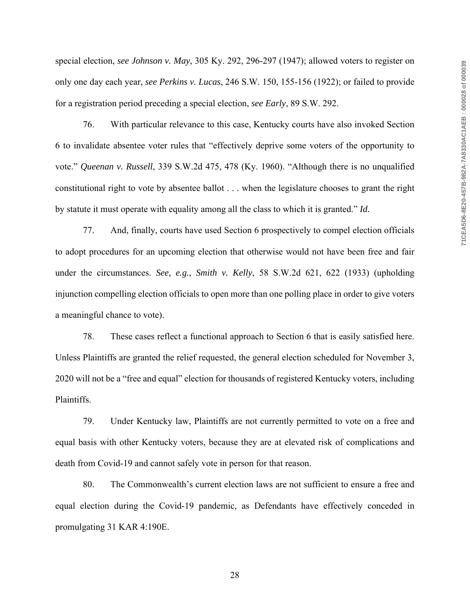special election, *see Johnson v. May*, 305 Ky. 292, 296-297 (1947); allowed voters to register on only one day each year, *see Perkins v. Lucas*, 246 S.W. 150, 155-156 (1922); or failed to provide for a registration period preceding a special election, *see Early*, 89 S.W. 292.

76. With particular relevance to this case, Kentucky courts have also invoked Section 6 to invalidate absentee voter rules that "effectively deprive some voters of the opportunity to vote." *Queenan v. Russell*, 339 S.W.2d 475, 478 (Ky. 1960). "Although there is no unqualified constitutional right to vote by absentee ballot . . . when the legislature chooses to grant the right by statute it must operate with equality among all the class to which it is granted." *Id.*

77. And, finally, courts have used Section 6 prospectively to compel election officials to adopt procedures for an upcoming election that otherwise would not have been free and fair under the circumstances. *See, e.g.*, *Smith v. Kelly*, 58 S.W.2d 621, 622 (1933) (upholding injunction compelling election officials to open more than one polling place in order to give voters a meaningful chance to vote).

78. These cases reflect a functional approach to Section 6 that is easily satisfied here. Unless Plaintiffs are granted the relief requested, the general election scheduled for November 3, 2020 will not be a "free and equal" election for thousands of registered Kentucky voters, including Plaintiffs.

79. Under Kentucky law, Plaintiffs are not currently permitted to vote on a free and equal basis with other Kentucky voters, because they are at elevated risk of complications and death from Covid-19 and cannot safely vote in person for that reason.

80. The Commonwealth's current election laws are not sufficient to ensure a free and equal election during the Covid-19 pandemic, as Defendants have effectively conceded in promulgating 31 KAR 4:190E.

28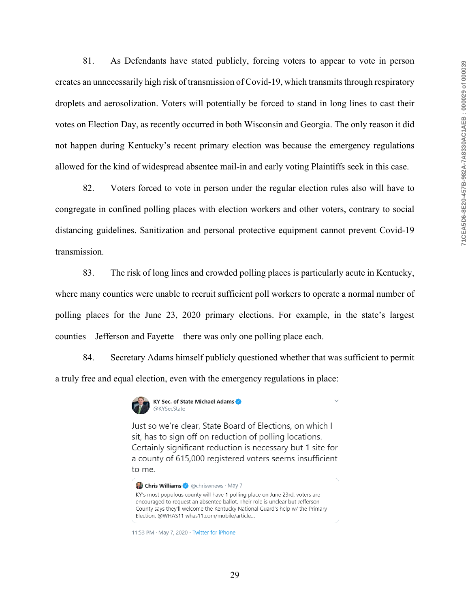81. As Defendants have stated publicly, forcing voters to appear to vote in person creates an unnecessarily high risk of transmission of Covid-19, which transmits through respiratory droplets and aerosolization. Voters will potentially be forced to stand in long lines to cast their votes on Election Day, as recently occurred in both Wisconsin and Georgia. The only reason it did not happen during Kentucky's recent primary election was because the emergency regulations allowed for the kind of widespread absentee mail-in and early voting Plaintiffs seek in this case.

82. Voters forced to vote in person under the regular election rules also will have to congregate in confined polling places with election workers and other voters, contrary to social distancing guidelines. Sanitization and personal protective equipment cannot prevent Covid-19 transmission.

83. The risk of long lines and crowded polling places is particularly acute in Kentucky, where many counties were unable to recruit sufficient poll workers to operate a normal number of polling places for the June 23, 2020 primary elections. For example, in the state's largest counties—Jefferson and Fayette—there was only one polling place each.

84. Secretary Adams himself publicly questioned whether that was sufficient to permit a truly free and equal election, even with the emergency regulations in place:



Just so we're clear, State Board of Elections, on which I sit, has to sign off on reduction of polling locations. Certainly significant reduction is necessary but 1 site for a county of 615,000 registered voters seems insufficient to me.

Chris Williams & @chriswnews · May 7 KY's most populous county will have 1 polling place on June 23rd, voters are

encouraged to request an absentee ballot. Their role is unclear but Jefferson County says they'll welcome the Kentucky National Guard's help w/ the Primary Election. @WHAS11 whas11.com/mobile/article...

11:53 PM · May 7, 2020 · Twitter for iPhone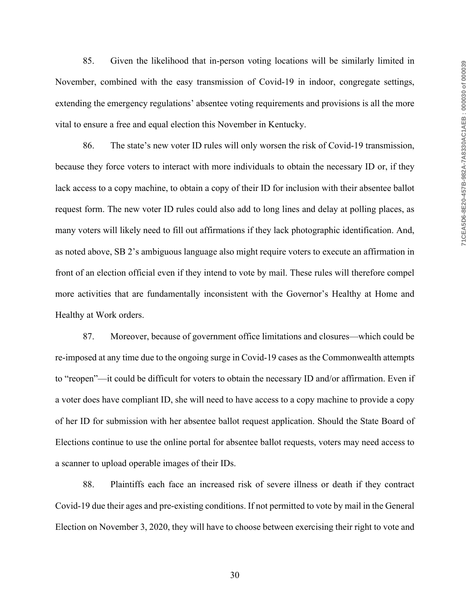85. Given the likelihood that in-person voting locations will be similarly limited in November, combined with the easy transmission of Covid-19 in indoor, congregate settings, extending the emergency regulations' absentee voting requirements and provisions is all the more vital to ensure a free and equal election this November in Kentucky.

86. The state's new voter ID rules will only worsen the risk of Covid-19 transmission, because they force voters to interact with more individuals to obtain the necessary ID or, if they lack access to a copy machine, to obtain a copy of their ID for inclusion with their absentee ballot request form. The new voter ID rules could also add to long lines and delay at polling places, as many voters will likely need to fill out affirmations if they lack photographic identification. And, as noted above, SB 2's ambiguous language also might require voters to execute an affirmation in front of an election official even if they intend to vote by mail. These rules will therefore compel more activities that are fundamentally inconsistent with the Governor's Healthy at Home and Healthy at Work orders.

87. Moreover, because of government office limitations and closures—which could be re-imposed at any time due to the ongoing surge in Covid-19 cases as the Commonwealth attempts to "reopen"—it could be difficult for voters to obtain the necessary ID and/or affirmation. Even if a voter does have compliant ID, she will need to have access to a copy machine to provide a copy of her ID for submission with her absentee ballot request application. Should the State Board of Elections continue to use the online portal for absentee ballot requests, voters may need access to a scanner to upload operable images of their IDs.

88. Plaintiffs each face an increased risk of severe illness or death if they contract Covid-19 due their ages and pre-existing conditions. If not permitted to vote by mail in the General Election on November 3, 2020, they will have to choose between exercising their right to vote and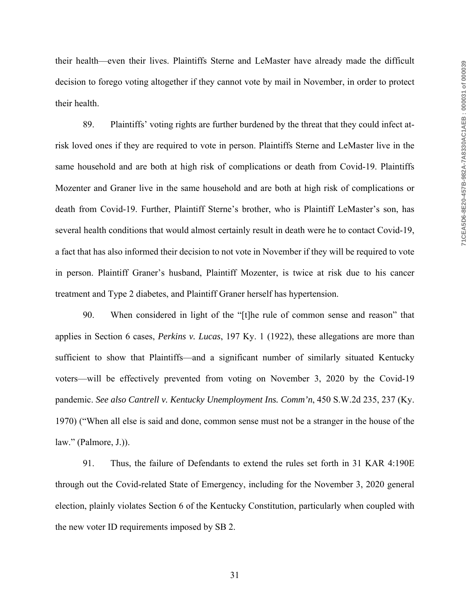their health—even their lives. Plaintiffs Sterne and LeMaster have already made the difficult decision to forego voting altogether if they cannot vote by mail in November, in order to protect their health.

89. Plaintiffs' voting rights are further burdened by the threat that they could infect atrisk loved ones if they are required to vote in person. Plaintiffs Sterne and LeMaster live in the same household and are both at high risk of complications or death from Covid-19. Plaintiffs Mozenter and Graner live in the same household and are both at high risk of complications or death from Covid-19. Further, Plaintiff Sterne's brother, who is Plaintiff LeMaster's son, has several health conditions that would almost certainly result in death were he to contact Covid-19, a fact that has also informed their decision to not vote in November if they will be required to vote in person. Plaintiff Graner's husband, Plaintiff Mozenter, is twice at risk due to his cancer treatment and Type 2 diabetes, and Plaintiff Graner herself has hypertension.

90. When considered in light of the "[t]he rule of common sense and reason" that applies in Section 6 cases, *Perkins v. Lucas*, 197 Ky. 1 (1922), these allegations are more than sufficient to show that Plaintiffs—and a significant number of similarly situated Kentucky voters—will be effectively prevented from voting on November 3, 2020 by the Covid-19 pandemic. *See also Cantrell v. Kentucky Unemployment Ins. Comm'n*, 450 S.W.2d 235, 237 (Ky. 1970) ("When all else is said and done, common sense must not be a stranger in the house of the law." (Palmore, J.)).

91. Thus, the failure of Defendants to extend the rules set forth in 31 KAR 4:190E through out the Covid-related State of Emergency, including for the November 3, 2020 general election, plainly violates Section 6 of the Kentucky Constitution, particularly when coupled with the new voter ID requirements imposed by SB 2.

31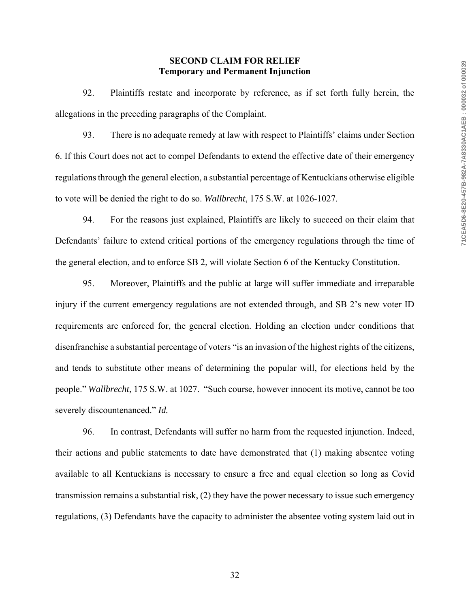### **SECOND CLAIM FOR RELIEF Temporary and Permanent Injunction**

92. Plaintiffs restate and incorporate by reference, as if set forth fully herein, the allegations in the preceding paragraphs of the Complaint.

93. There is no adequate remedy at law with respect to Plaintiffs' claims under Section 6. If this Court does not act to compel Defendants to extend the effective date of their emergency regulations through the general election, a substantial percentage of Kentuckians otherwise eligible to vote will be denied the right to do so. *Wallbrecht*, 175 S.W. at 1026-1027.

94. For the reasons just explained, Plaintiffs are likely to succeed on their claim that Defendants' failure to extend critical portions of the emergency regulations through the time of the general election, and to enforce SB 2, will violate Section 6 of the Kentucky Constitution.

95. Moreover, Plaintiffs and the public at large will suffer immediate and irreparable injury if the current emergency regulations are not extended through, and SB 2's new voter ID requirements are enforced for, the general election. Holding an election under conditions that disenfranchise a substantial percentage of voters "is an invasion of the highest rights of the citizens, and tends to substitute other means of determining the popular will, for elections held by the people." *Wallbrecht*, 175 S.W. at 1027. "Such course, however innocent its motive, cannot be too severely discountenanced." *Id.*

96. In contrast, Defendants will suffer no harm from the requested injunction. Indeed, their actions and public statements to date have demonstrated that (1) making absentee voting available to all Kentuckians is necessary to ensure a free and equal election so long as Covid transmission remains a substantial risk, (2) they have the power necessary to issue such emergency regulations, (3) Defendants have the capacity to administer the absentee voting system laid out in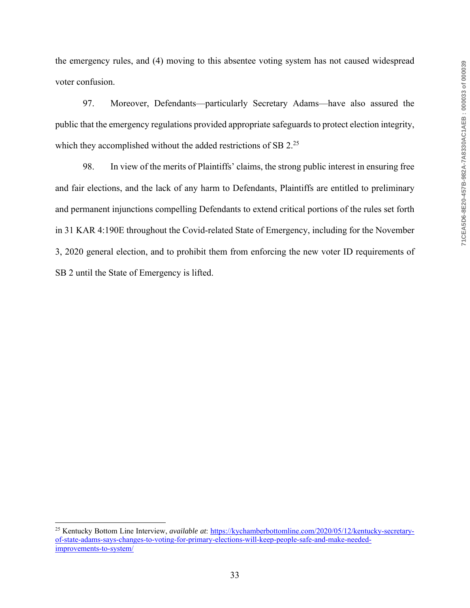the emergency rules, and (4) moving to this absentee voting system has not caused widespread voter confusion.

97. Moreover, Defendants—particularly Secretary Adams—have also assured the public that the emergency regulations provided appropriate safeguards to protect election integrity, which they accomplished without the added restrictions of SB 2.<sup>25</sup>

98. In view of the merits of Plaintiffs' claims, the strong public interest in ensuring free and fair elections, and the lack of any harm to Defendants, Plaintiffs are entitled to preliminary and permanent injunctions compelling Defendants to extend critical portions of the rules set forth in 31 KAR 4:190E throughout the Covid-related State of Emergency, including for the November 3, 2020 general election, and to prohibit them from enforcing the new voter ID requirements of SB 2 until the State of Emergency is lifted.

<sup>25</sup> Kentucky Bottom Line Interview, *available at*: https://kychamberbottomline.com/2020/05/12/kentucky-secretaryof-state-adams-says-changes-to-voting-for-primary-elections-will-keep-people-safe-and-make-neededimprovements-to-system/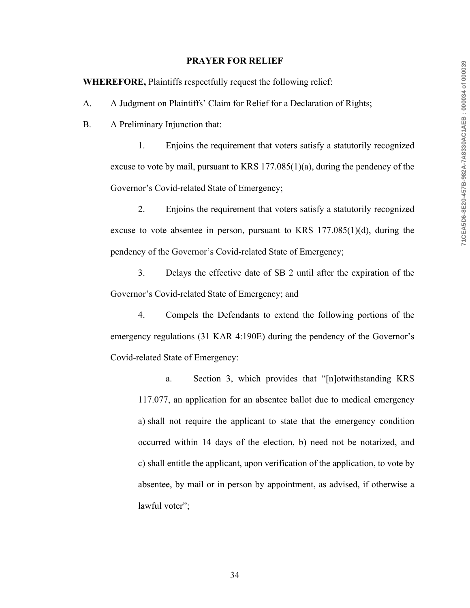#### **PRAYER FOR RELIEF**

**WHEREFORE,** Plaintiffs respectfully request the following relief:

A. A Judgment on Plaintiffs' Claim for Relief for a Declaration of Rights;

B. A Preliminary Injunction that:

1. Enjoins the requirement that voters satisfy a statutorily recognized excuse to vote by mail, pursuant to KRS 177.085(1)(a), during the pendency of the Governor's Covid-related State of Emergency;

2. Enjoins the requirement that voters satisfy a statutorily recognized excuse to vote absentee in person, pursuant to KRS  $177.085(1)(d)$ , during the pendency of the Governor's Covid-related State of Emergency;

3. Delays the effective date of SB 2 until after the expiration of the Governor's Covid-related State of Emergency; and

4. Compels the Defendants to extend the following portions of the emergency regulations (31 KAR 4:190E) during the pendency of the Governor's Covid-related State of Emergency:

a. Section 3, which provides that "[n]otwithstanding KRS 117.077, an application for an absentee ballot due to medical emergency a) shall not require the applicant to state that the emergency condition occurred within 14 days of the election, b) need not be notarized, and c) shall entitle the applicant, upon verification of the application, to vote by absentee, by mail or in person by appointment, as advised, if otherwise a lawful voter";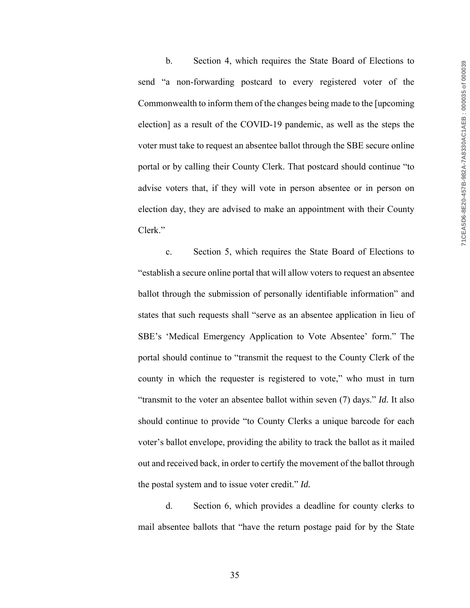b. Section 4, which requires the State Board of Elections to send "a non-forwarding postcard to every registered voter of the Commonwealth to inform them of the changes being made to the [upcoming election] as a result of the COVID-19 pandemic, as well as the steps the voter must take to request an absentee ballot through the SBE secure online portal or by calling their County Clerk. That postcard should continue "to advise voters that, if they will vote in person absentee or in person on election day, they are advised to make an appointment with their County Clerk."

c. Section 5, which requires the State Board of Elections to "establish a secure online portal that will allow voters to request an absentee ballot through the submission of personally identifiable information" and states that such requests shall "serve as an absentee application in lieu of SBE's 'Medical Emergency Application to Vote Absentee' form." The portal should continue to "transmit the request to the County Clerk of the county in which the requester is registered to vote," who must in turn "transmit to the voter an absentee ballot within seven (7) days." *Id.* It also should continue to provide "to County Clerks a unique barcode for each voter's ballot envelope, providing the ability to track the ballot as it mailed out and received back, in order to certify the movement of the ballot through the postal system and to issue voter credit." *Id.*

d. Section 6, which provides a deadline for county clerks to mail absentee ballots that "have the return postage paid for by the State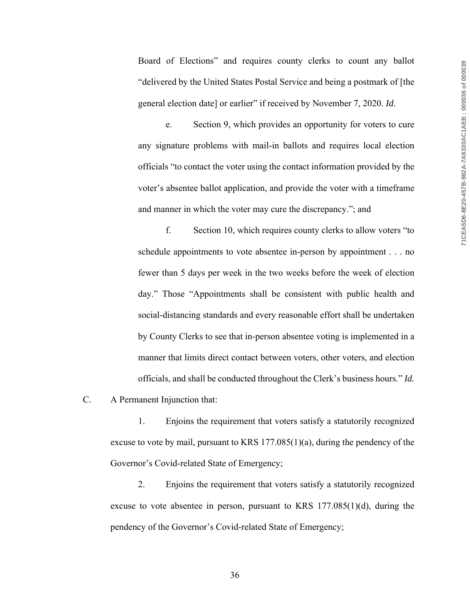Board of Elections" and requires county clerks to count any ballot "delivered by the United States Postal Service and being a postmark of [the general election date] or earlier" if received by November 7, 2020. *Id.*

e. Section 9, which provides an opportunity for voters to cure any signature problems with mail-in ballots and requires local election officials "to contact the voter using the contact information provided by the voter's absentee ballot application, and provide the voter with a timeframe and manner in which the voter may cure the discrepancy."; and

f. Section 10, which requires county clerks to allow voters "to schedule appointments to vote absentee in-person by appointment . . . no fewer than 5 days per week in the two weeks before the week of election day." Those "Appointments shall be consistent with public health and social-distancing standards and every reasonable effort shall be undertaken by County Clerks to see that in-person absentee voting is implemented in a manner that limits direct contact between voters, other voters, and election officials, and shall be conducted throughout the Clerk's business hours." *Id.*

C. A Permanent Injunction that:

1. Enjoins the requirement that voters satisfy a statutorily recognized excuse to vote by mail, pursuant to KRS  $177.085(1)(a)$ , during the pendency of the Governor's Covid-related State of Emergency;

2. Enjoins the requirement that voters satisfy a statutorily recognized excuse to vote absentee in person, pursuant to KRS  $177.085(1)(d)$ , during the pendency of the Governor's Covid-related State of Emergency;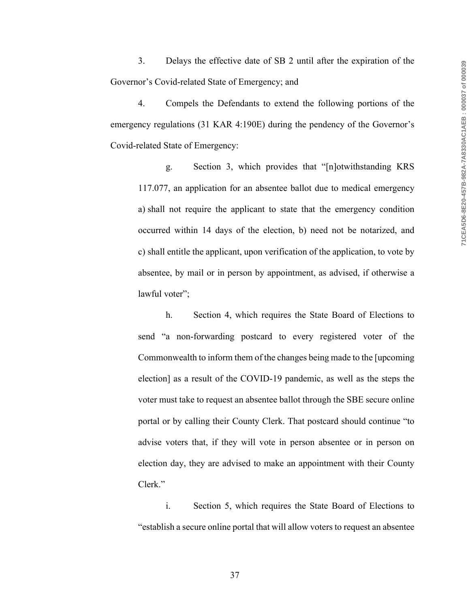3. Delays the effective date of SB 2 until after the expiration of the Governor's Covid-related State of Emergency; and

4. Compels the Defendants to extend the following portions of the emergency regulations (31 KAR 4:190E) during the pendency of the Governor's Covid-related State of Emergency:

g. Section 3, which provides that "[n]otwithstanding KRS 117.077, an application for an absentee ballot due to medical emergency a) shall not require the applicant to state that the emergency condition occurred within 14 days of the election, b) need not be notarized, and c) shall entitle the applicant, upon verification of the application, to vote by absentee, by mail or in person by appointment, as advised, if otherwise a lawful voter";

h. Section 4, which requires the State Board of Elections to send "a non-forwarding postcard to every registered voter of the Commonwealth to inform them of the changes being made to the [upcoming election] as a result of the COVID-19 pandemic, as well as the steps the voter must take to request an absentee ballot through the SBE secure online portal or by calling their County Clerk. That postcard should continue "to advise voters that, if they will vote in person absentee or in person on election day, they are advised to make an appointment with their County Clerk."

i. Section 5, which requires the State Board of Elections to "establish a secure online portal that will allow voters to request an absentee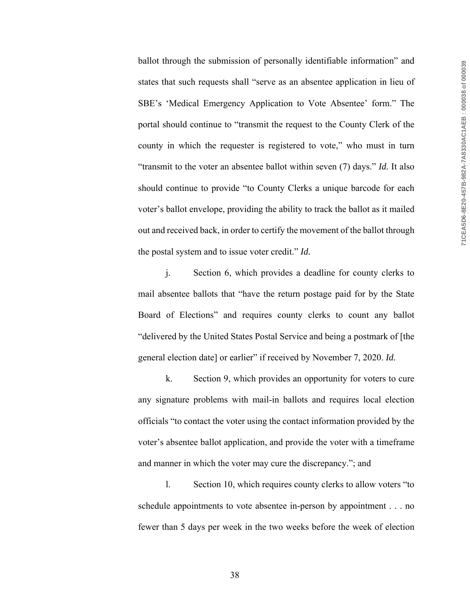ballot through the submission of personally identifiable information" and states that such requests shall "serve as an absentee application in lieu of SBE's 'Medical Emergency Application to Vote Absentee' form." The portal should continue to "transmit the request to the County Clerk of the county in which the requester is registered to vote," who must in turn "transmit to the voter an absentee ballot within seven (7) days." *Id.* It also should continue to provide "to County Clerks a unique barcode for each voter's ballot envelope, providing the ability to track the ballot as it mailed out and received back, in order to certify the movement of the ballot through the postal system and to issue voter credit." *Id.*

j. Section 6, which provides a deadline for county clerks to mail absentee ballots that "have the return postage paid for by the State Board of Elections" and requires county clerks to count any ballot "delivered by the United States Postal Service and being a postmark of [the general election date] or earlier" if received by November 7, 2020. *Id.*

k. Section 9, which provides an opportunity for voters to cure any signature problems with mail-in ballots and requires local election officials "to contact the voter using the contact information provided by the voter's absentee ballot application, and provide the voter with a timeframe and manner in which the voter may cure the discrepancy."; and

l. Section 10, which requires county clerks to allow voters "to schedule appointments to vote absentee in-person by appointment . . . no fewer than 5 days per week in the two weeks before the week of election

38